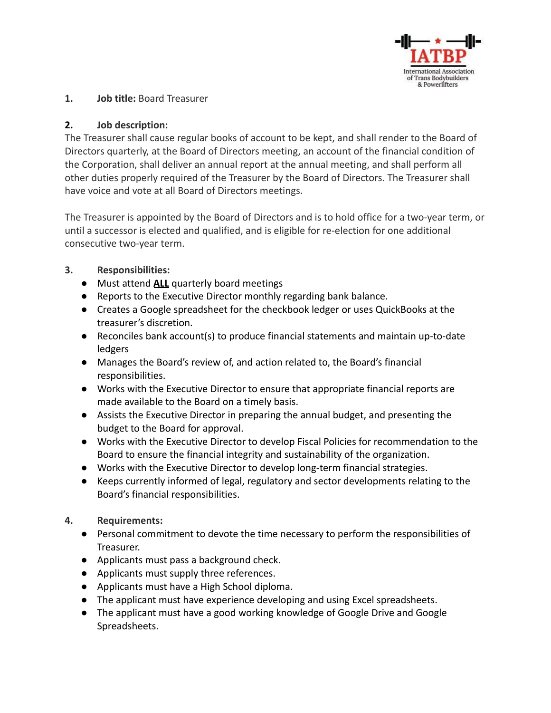

### **1. Job title:** Board Treasurer

## **2. Job description:**

The Treasurer shall cause regular books of account to be kept, and shall render to the Board of Directors quarterly, at the Board of Directors meeting, an account of the financial condition of the Corporation, shall deliver an annual report at the annual meeting, and shall perform all other duties properly required of the Treasurer by the Board of Directors. The Treasurer shall have voice and vote at all Board of Directors meetings.

The Treasurer is appointed by the Board of Directors and is to hold office for a two-year term, or until a successor is elected and qualified, and is eligible for re-election for one additional consecutive two-year term.

# **3. Responsibilities:**

- Must attend **ALL** quarterly board meetings
- Reports to the Executive Director monthly regarding bank balance.
- Creates a Google spreadsheet for the checkbook ledger or uses QuickBooks at the treasurer's discretion.
- Reconciles bank account(s) to produce financial statements and maintain up-to-date ledgers
- Manages the Board's review of, and action related to, the Board's financial responsibilities.
- Works with the Executive Director to ensure that appropriate financial reports are made available to the Board on a timely basis.
- Assists the Executive Director in preparing the annual budget, and presenting the budget to the Board for approval.
- Works with the Executive Director to develop Fiscal Policies for recommendation to the Board to ensure the financial integrity and sustainability of the organization.
- Works with the Executive Director to develop long-term financial strategies.
- Keeps currently informed of legal, regulatory and sector developments relating to the Board's financial responsibilities.

## **4. Requirements:**

- Personal commitment to devote the time necessary to perform the responsibilities of Treasurer.
- Applicants must pass a background check.
- Applicants must supply three references.
- Applicants must have a High School diploma.
- The applicant must have experience developing and using Excel spreadsheets.
- The applicant must have a good working knowledge of Google Drive and Google Spreadsheets.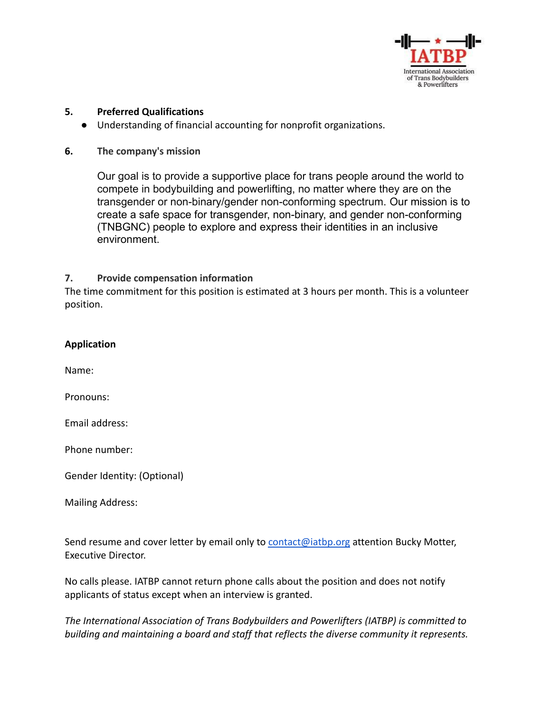

#### **5. Preferred Qualifications**

- Understanding of financial accounting for nonprofit organizations.
- **6. The company's mission**

Our goal is to provide a supportive place for trans people around the world to compete in bodybuilding and powerlifting, no matter where they are on the transgender or non-binary/gender non-conforming spectrum. Our mission is to create a safe space for transgender, non-binary, and gender non-conforming (TNBGNC) people to explore and express their identities in an inclusive environment.

#### **7. Provide compensation information**

The time commitment for this position is estimated at 3 hours per month. This is a volunteer position.

|  |  | <b>Application</b> |
|--|--|--------------------|
|--|--|--------------------|

Name:

Pronouns:

Email address:

Phone number:

Gender Identity: (Optional)

Mailing Address:

Send resume and cover letter by email only to **[contact@iatbp.org](mailto:contact@iatbp.org)** attention Bucky Motter, Executive Director.

No calls please. IATBP cannot return phone calls about the position and does not notify applicants of status except when an interview is granted.

*The International Association of Trans Bodybuilders and Powerlifters (IATBP) is committed to building and maintaining a board and staff that reflects the diverse community it represents.*